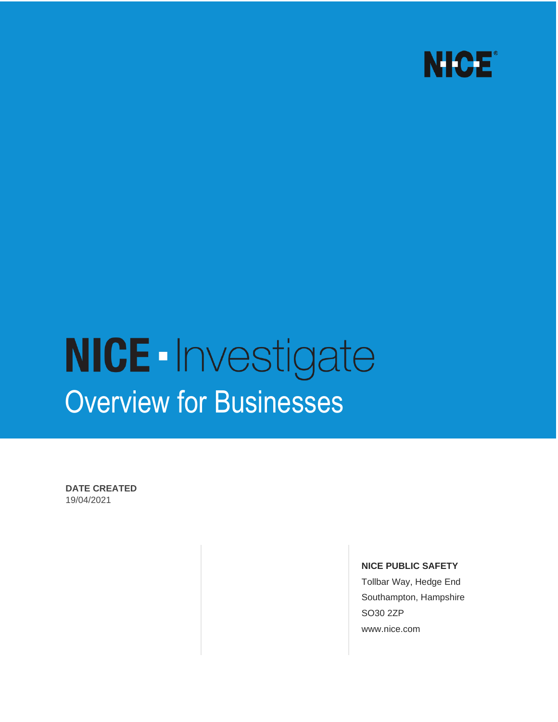

# **NICE**-Investigate Overview for Businesses

**DATE CREATED**  19/04/2021

#### **NICE PUBLIC SAFETY**

Tollbar Way, Hedge End Southampton, Hampshire SO30 2ZP www.nice.com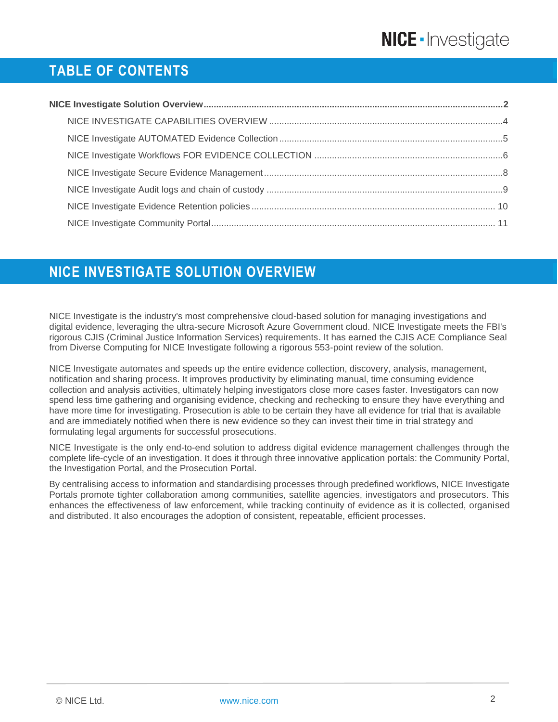# **TABLE OF CONTENTS**

## <span id="page-1-0"></span>**NICE INVESTIGATE SOLUTION OVERVIEW**

NICE Investigate is the industry's most comprehensive cloud-based solution for managing investigations and digital evidence, leveraging the ultra-secure Microsoft Azure Government cloud. NICE Investigate meets the FBI's rigorous CJIS (Criminal Justice Information Services) requirements. It has earned the CJIS ACE Compliance Seal from Diverse Computing for NICE Investigate following a rigorous 553-point review of the solution.

NICE Investigate automates and speeds up the entire evidence collection, discovery, analysis, management, notification and sharing process. It improves productivity by eliminating manual, time consuming evidence collection and analysis activities, ultimately helping investigators close more cases faster. Investigators can now spend less time gathering and organising evidence, checking and rechecking to ensure they have everything and have more time for investigating. Prosecution is able to be certain they have all evidence for trial that is available and are immediately notified when there is new evidence so they can invest their time in trial strategy and formulating legal arguments for successful prosecutions.

NICE Investigate is the only end-to-end solution to address digital evidence management challenges through the complete life-cycle of an investigation. It does it through three innovative application portals: the Community Portal, the Investigation Portal, and the Prosecution Portal.

By centralising access to information and standardising processes through predefined workflows, NICE Investigate Portals promote tighter collaboration among communities, satellite agencies, investigators and prosecutors. This enhances the effectiveness of law enforcement, while tracking continuity of evidence as it is collected, organised and distributed. It also encourages the adoption of consistent, repeatable, efficient processes.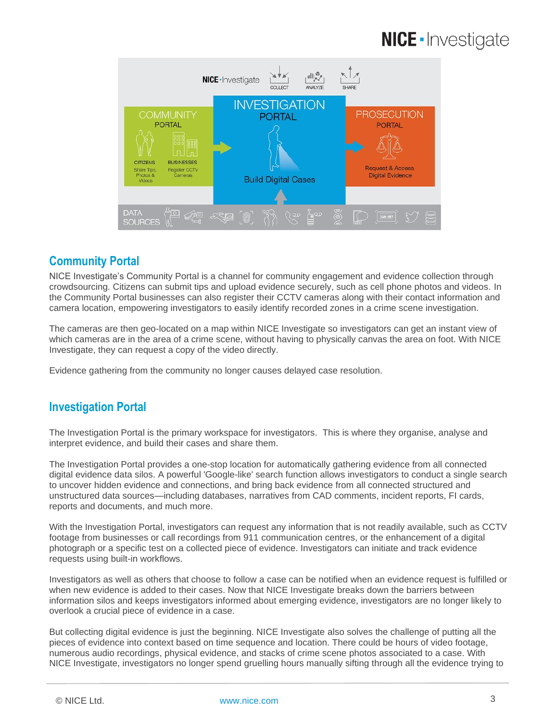

### **Community Portal**

NICE Investigate's Community Portal is a channel for community engagement and evidence collection through crowdsourcing. Citizens can submit tips and upload evidence securely, such as cell phone photos and videos. In the Community Portal businesses can also register their CCTV cameras along with their contact information and camera location, empowering investigators to easily identify recorded zones in a crime scene investigation.

The cameras are then geo-located on a map within NICE Investigate so investigators can get an instant view of which cameras are in the area of a crime scene, without having to physically canvas the area on foot. With NICE Investigate, they can request a copy of the video directly.

Evidence gathering from the community no longer causes delayed case resolution.

### **Investigation Portal**

The Investigation Portal is the primary workspace for investigators. This is where they organise, analyse and interpret evidence, and build their cases and share them.

The Investigation Portal provides a one-stop location for automatically gathering evidence from all connected digital evidence data silos. A powerful 'Google-like' search function allows investigators to conduct a single search to uncover hidden evidence and connections, and bring back evidence from all connected structured and unstructured data sources—including databases, narratives from CAD comments, incident reports, FI cards, reports and documents, and much more.

With the Investigation Portal, investigators can request any information that is not readily available, such as CCTV footage from businesses or call recordings from 911 communication centres, or the enhancement of a digital photograph or a specific test on a collected piece of evidence. Investigators can initiate and track evidence requests using built-in workflows.

Investigators as well as others that choose to follow a case can be notified when an evidence request is fulfilled or when new evidence is added to their cases. Now that NICE Investigate breaks down the barriers between information silos and keeps investigators informed about emerging evidence, investigators are no longer likely to overlook a crucial piece of evidence in a case.

But collecting digital evidence is just the beginning. NICE Investigate also solves the challenge of putting all the pieces of evidence into context based on time sequence and location. There could be hours of video footage, numerous audio recordings, physical evidence, and stacks of crime scene photos associated to a case. With NICE Investigate, investigators no longer spend gruelling hours manually sifting through all the evidence trying to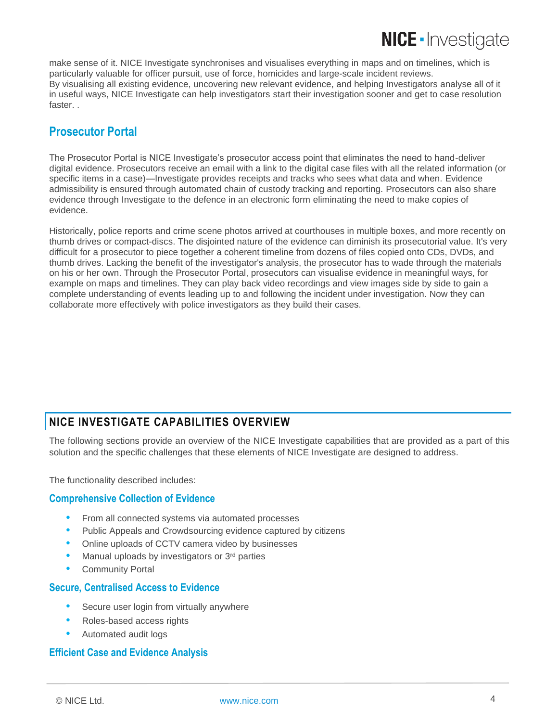make sense of it. NICE Investigate synchronises and visualises everything in maps and on timelines, which is particularly valuable for officer pursuit, use of force, homicides and large-scale incident reviews. By visualising all existing evidence, uncovering new relevant evidence, and helping Investigators analyse all of it in useful ways, NICE Investigate can help investigators start their investigation sooner and get to case resolution faster. .

### **Prosecutor Portal**

The Prosecutor Portal is NICE Investigate's prosecutor access point that eliminates the need to hand-deliver digital evidence. Prosecutors receive an email with a link to the digital case files with all the related information (or specific items in a case)—Investigate provides receipts and tracks who sees what data and when. Evidence admissibility is ensured through automated chain of custody tracking and reporting. Prosecutors can also share evidence through Investigate to the defence in an electronic form eliminating the need to make copies of evidence.

Historically, police reports and crime scene photos arrived at courthouses in multiple boxes, and more recently on thumb drives or compact-discs. The disjointed nature of the evidence can diminish its prosecutorial value. It's very difficult for a prosecutor to piece together a coherent timeline from dozens of files copied onto CDs, DVDs, and thumb drives. Lacking the benefit of the investigator's analysis, the prosecutor has to wade through the materials on his or her own. Through the Prosecutor Portal, prosecutors can visualise evidence in meaningful ways, for example on maps and timelines. They can play back video recordings and view images side by side to gain a complete understanding of events leading up to and following the incident under investigation. Now they can collaborate more effectively with police investigators as they build their cases.

### <span id="page-3-0"></span>**NICE INVESTIGATE CAPABILITIES OVERVIEW**

The following sections provide an overview of the NICE Investigate capabilities that are provided as a part of this solution and the specific challenges that these elements of NICE Investigate are designed to address.

The functionality described includes:

#### **Comprehensive Collection of Evidence**

- From all connected systems via automated processes
- Public Appeals and Crowdsourcing evidence captured by citizens
- Online uploads of CCTV camera video by businesses
- Manual uploads by investigators or 3rd parties
- Community Portal

#### **Secure, Centralised Access to Evidence**

- Secure user login from virtually anywhere
- Roles-based access rights
- Automated audit logs

#### **Efficient Case and Evidence Analysis**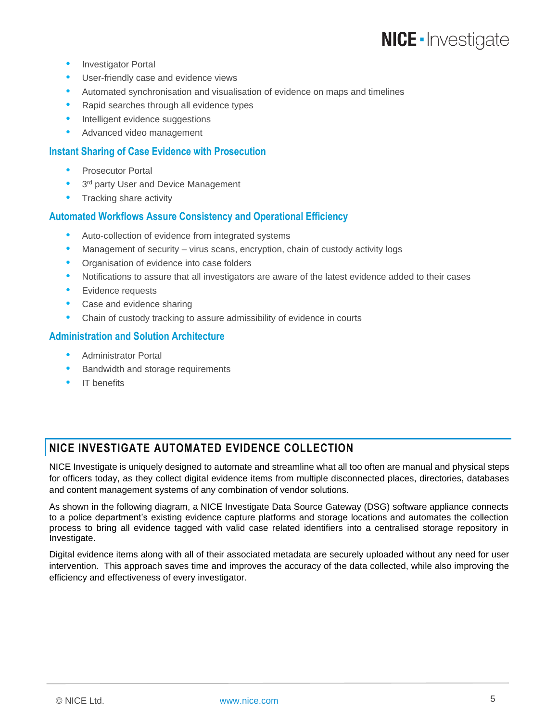- Investigator Portal
- User-friendly case and evidence views
- Automated synchronisation and visualisation of evidence on maps and timelines
- Rapid searches through all evidence types
- Intelligent evidence suggestions
- Advanced video management

#### **Instant Sharing of Case Evidence with Prosecution**

- Prosecutor Portal
- 3<sup>rd</sup> party User and Device Management
- Tracking share activity

#### **Automated Workflows Assure Consistency and Operational Efficiency**

- Auto-collection of evidence from integrated systems
- Management of security virus scans, encryption, chain of custody activity logs
- Organisation of evidence into case folders
- Notifications to assure that all investigators are aware of the latest evidence added to their cases
- **•** Evidence requests
- Case and evidence sharing
- Chain of custody tracking to assure admissibility of evidence in courts

#### **Administration and Solution Architecture**

- Administrator Portal
- Bandwidth and storage requirements
- IT benefits

### <span id="page-4-0"></span>**NICE INVESTIGATE AUTOMATED EVIDENCE COLLECTION**

NICE Investigate is uniquely designed to automate and streamline what all too often are manual and physical steps for officers today, as they collect digital evidence items from multiple disconnected places, directories, databases and content management systems of any combination of vendor solutions.

As shown in the following diagram, a NICE Investigate Data Source Gateway (DSG) software appliance connects to a police department's existing evidence capture platforms and storage locations and automates the collection process to bring all evidence tagged with valid case related identifiers into a centralised storage repository in Investigate.

Digital evidence items along with all of their associated metadata are securely uploaded without any need for user intervention. This approach saves time and improves the accuracy of the data collected, while also improving the efficiency and effectiveness of every investigator.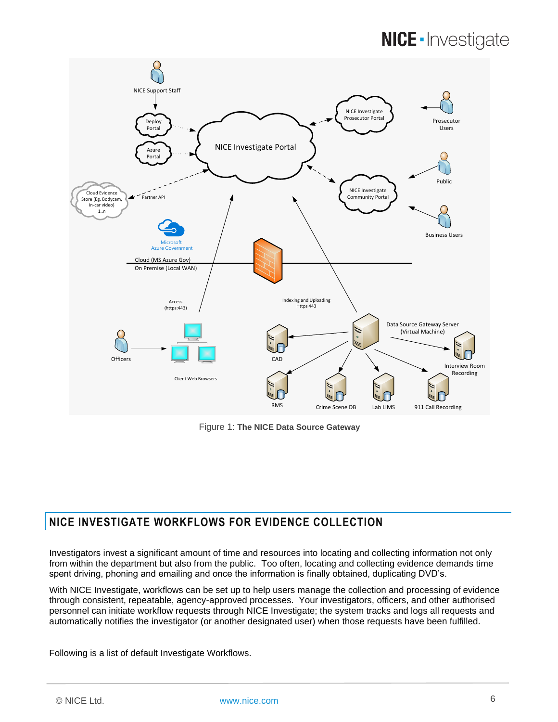

Figure 1: **The NICE Data Source Gateway**

### <span id="page-5-0"></span>**NICE INVESTIGATE WORKFLOWS FOR EVIDENCE COLLECTION**

Investigators invest a significant amount of time and resources into locating and collecting information not only from within the department but also from the public. Too often, locating and collecting evidence demands time spent driving, phoning and emailing and once the information is finally obtained, duplicating DVD's.

With NICE Investigate, workflows can be set up to help users manage the collection and processing of evidence through consistent, repeatable, agency-approved processes. Your investigators, officers, and other authorised personnel can initiate workflow requests through NICE Investigate; the system tracks and logs all requests and automatically notifies the investigator (or another designated user) when those requests have been fulfilled.

Following is a list of default Investigate Workflows.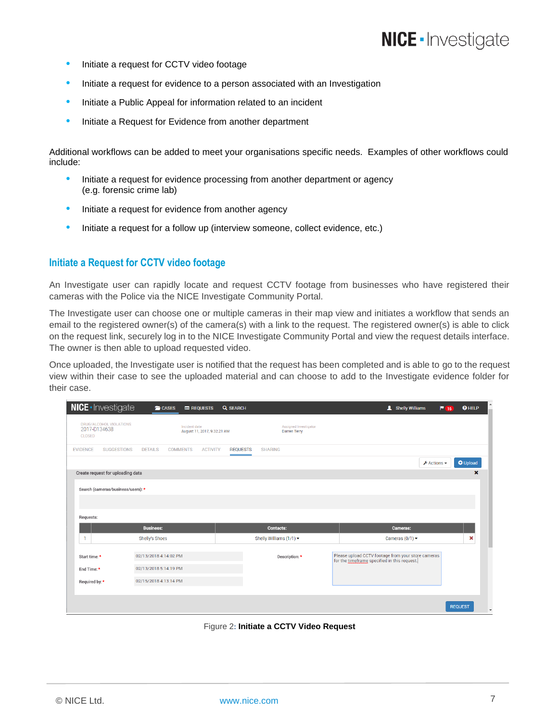- Initiate a request for CCTV video footage
- Initiate a request for evidence to a person associated with an Investigation
- Initiate a Public Appeal for information related to an incident
- Initiate a Request for Evidence from another department

Additional workflows can be added to meet your organisations specific needs. Examples of other workflows could include:

- Initiate a request for evidence processing from another department or agency (e.g. forensic crime lab)
- Initiate a request for evidence from another agency
- Initiate a request for a follow up (interview someone, collect evidence, etc.)

#### **Initiate a Request for CCTV video footage**

An Investigate user can rapidly locate and request CCTV footage from businesses who have registered their cameras with the Police via the NICE Investigate Community Portal.

The Investigate user can choose one or multiple cameras in their map view and initiates a workflow that sends an email to the registered owner(s) of the camera(s) with a link to the request. The registered owner(s) is able to click on the request link, securely log in to the NICE Investigate Community Portal and view the request details interface. The owner is then able to upload requested video.

Once uploaded, the Investigate user is notified that the request has been completed and is able to go to the request view within their case to see the uploaded material and can choose to add to the Investigate evidence folder for their case.

| <b>NICE</b> - Investigate                                | <b>CASES</b>                         | <b>E</b> REQUESTS                            | <b>Q</b> SEARCH |                                              | Shelly Williams                                                                                    | <b>O</b> HELP<br>$P$ 15 |
|----------------------------------------------------------|--------------------------------------|----------------------------------------------|-----------------|----------------------------------------------|----------------------------------------------------------------------------------------------------|-------------------------|
| DRUG/ALCOHOL VIOLATIONS<br>2017-D134638<br><b>CLOSED</b> |                                      | Incident date<br>August 11, 2017, 9:32:21 AM |                 | Assigned Investigator<br><b>Darren Terry</b> |                                                                                                    |                         |
| <b>EVIDENCE</b>                                          | <b>SUGGESTIONS</b><br><b>DETAILS</b> | <b>COMMENTS</b><br><b>ACTIVITY</b>           | <b>REQUESTS</b> | <b>SHARING</b>                               |                                                                                                    |                         |
|                                                          |                                      |                                              |                 |                                              | $\sqrt{\phantom{a}}$ Actions $\rightarrow$                                                         | <b>O</b> Upload         |
|                                                          | Create request for uploading data    |                                              |                 |                                              |                                                                                                    | $\mathbf x$             |
|                                                          | Search (cameras/business/users): *   |                                              |                 |                                              |                                                                                                    |                         |
|                                                          |                                      |                                              |                 |                                              |                                                                                                    |                         |
| Requests:                                                |                                      |                                              |                 |                                              |                                                                                                    |                         |
|                                                          | <b>Business:</b>                     |                                              |                 | <b>Contacts:</b>                             | <b>Cameras:</b>                                                                                    |                         |
| n                                                        | Shelly's Shoes                       |                                              |                 | Shelly Williams $(1/1)$ $\star$              | Cameras $(0/1)$ $\star$                                                                            | ×                       |
| Start time:                                              | 02/13/2018 4:14:02 PM                |                                              |                 | Description: *                               | Please upload CCTV footage from your store cameras<br>for the timeframe specified in this request. |                         |
| End Time: *                                              | 02/13/2018 5:14:19 PM                |                                              |                 |                                              |                                                                                                    |                         |
| Required by: *                                           | 02/15/2018 4:13:14 PM                |                                              |                 |                                              |                                                                                                    |                         |
|                                                          |                                      |                                              |                 |                                              |                                                                                                    |                         |
|                                                          |                                      |                                              |                 |                                              |                                                                                                    | <b>REQUEST</b>          |

Figure 2**: Initiate a CCTV Video Request**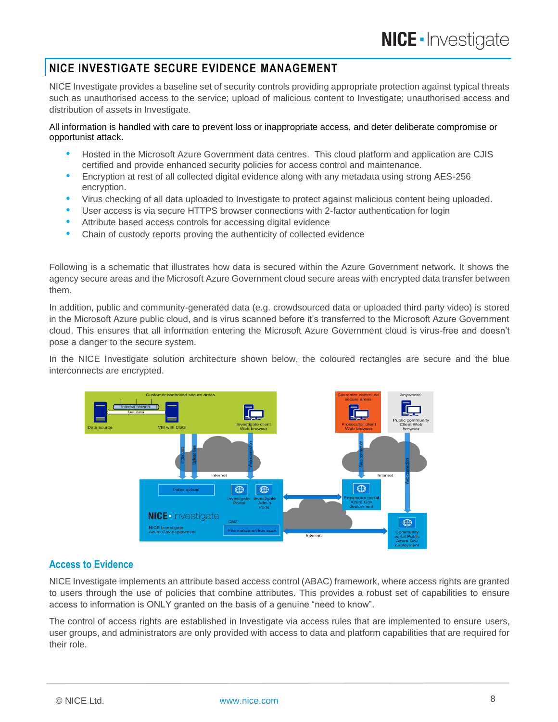#### <span id="page-7-0"></span>**NICE INVESTIGATE SECURE EVIDENCE MANAGEMENT**

NICE Investigate provides a baseline set of security controls providing appropriate protection against typical threats such as unauthorised access to the service; upload of malicious content to Investigate; unauthorised access and distribution of assets in Investigate.

#### All information is handled with care to prevent loss or inappropriate access, and deter deliberate compromise or opportunist attack.

- Hosted in the Microsoft Azure Government data centres. This cloud platform and application are CJIS certified and provide enhanced security policies for access control and maintenance.
- Encryption at rest of all collected digital evidence along with any metadata using strong AES-256 encryption.
- Virus checking of all data uploaded to Investigate to protect against malicious content being uploaded.
- User access is via secure HTTPS browser connections with 2-factor authentication for login
- Attribute based access controls for accessing digital evidence
- Chain of custody reports proving the authenticity of collected evidence

Following is a schematic that illustrates how data is secured within the Azure Government network. It shows the agency secure areas and the Microsoft Azure Government cloud secure areas with encrypted data transfer between them.

In addition, public and community-generated data (e.g. crowdsourced data or uploaded third party video) is stored in the Microsoft Azure public cloud, and is virus scanned before it's transferred to the Microsoft Azure Government cloud. This ensures that all information entering the Microsoft Azure Government cloud is virus-free and doesn't pose a danger to the secure system.

In the NICE Investigate solution architecture shown below, the coloured rectangles are secure and the blue interconnects are encrypted.



#### **Access to Evidence**

NICE Investigate implements an attribute based access control (ABAC) framework, where access rights are granted to users through the use of policies that combine attributes. This provides a robust set of capabilities to ensure access to information is ONLY granted on the basis of a genuine "need to know".

The control of access rights are established in Investigate via access rules that are implemented to ensure users, user groups, and administrators are only provided with access to data and platform capabilities that are required for their role.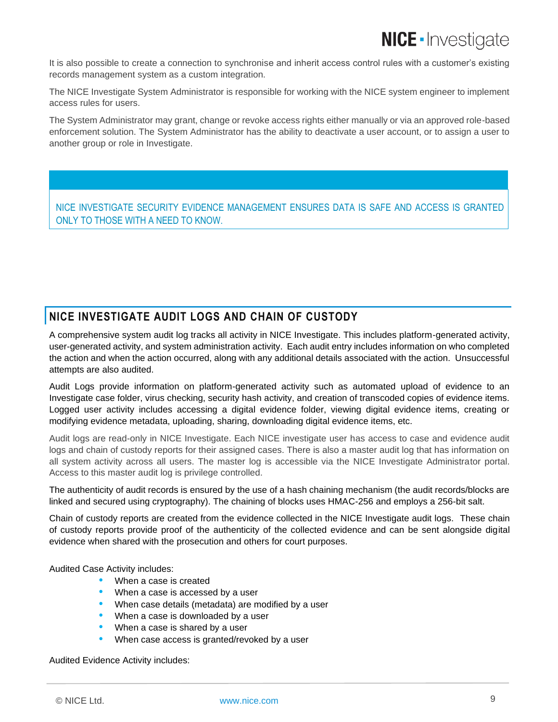It is also possible to create a connection to synchronise and inherit access control rules with a customer's existing records management system as a custom integration.

The NICE Investigate System Administrator is responsible for working with the NICE system engineer to implement access rules for users.

The System Administrator may grant, change or revoke access rights either manually or via an approved role-based enforcement solution. The System Administrator has the ability to deactivate a user account, or to assign a user to another group or role in Investigate.

NICE INVESTIGATE SECURITY EVIDENCE MANAGEMENT ENSURES DATA IS SAFE AND ACCESS IS GRANTED ONLY TO THOSE WITH A NEED TO KNOW.

### <span id="page-8-0"></span>**NICE INVESTIGATE AUDIT LOGS AND CHAIN OF CUSTODY**

A comprehensive system audit log tracks all activity in NICE Investigate. This includes platform-generated activity, user-generated activity, and system administration activity. Each audit entry includes information on who completed the action and when the action occurred, along with any additional details associated with the action. Unsuccessful attempts are also audited.

Audit Logs provide information on platform-generated activity such as automated upload of evidence to an Investigate case folder, virus checking, security hash activity, and creation of transcoded copies of evidence items. Logged user activity includes accessing a digital evidence folder, viewing digital evidence items, creating or modifying evidence metadata, uploading, sharing, downloading digital evidence items, etc.

Audit logs are read-only in NICE Investigate. Each NICE investigate user has access to case and evidence audit logs and chain of custody reports for their assigned cases. There is also a master audit log that has information on all system activity across all users. The master log is accessible via the NICE Investigate Administrator portal. Access to this master audit log is privilege controlled.

The authenticity of audit records is ensured by the use of a hash chaining mechanism (the audit records/blocks are linked and secured using cryptography). The chaining of blocks uses HMAC-256 and employs a 256-bit salt.

Chain of custody reports are created from the evidence collected in the NICE Investigate audit logs. These chain of custody reports provide proof of the authenticity of the collected evidence and can be sent alongside digital evidence when shared with the prosecution and others for court purposes.

Audited Case Activity includes:

- When a case is created
- When a case is accessed by a user
- When case details (metadata) are modified by a user
- When a case is downloaded by a user
- When a case is shared by a user
- When case access is granted/revoked by a user

Audited Evidence Activity includes:

© NICE Ltd. [www.nice.com](http://www.nice.com/) 9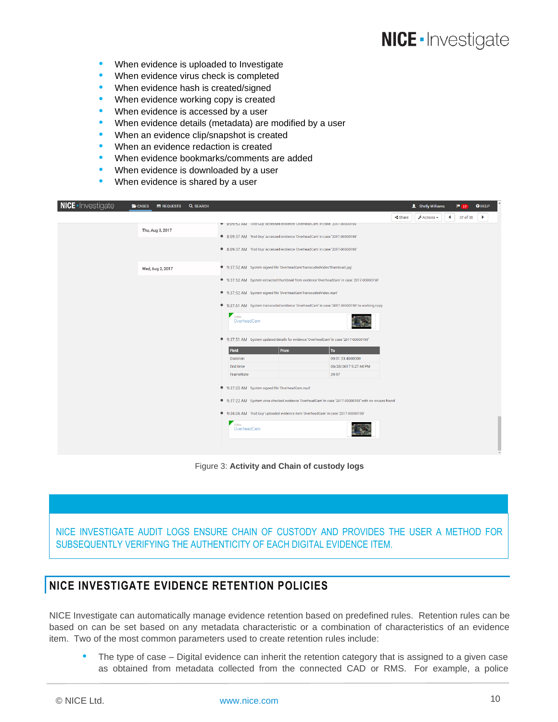- When evidence is uploaded to Investigate
- When evidence virus check is completed
- When evidence hash is created/signed
- When evidence working copy is created
- When evidence is accessed by a user
- When evidence details (metadata) are modified by a user
- When an evidence clip/snapshot is created
- When an evidence redaction is created
- When evidence bookmarks/comments are added
- When evidence is downloaded by a user
- When evidence is shared by a user

| <b>NICE</b> - Investigate | <b>CASES</b><br><b>E</b> REQUESTS | <b>Q SEARCH</b> |                                                                                             |                                                                                                      |                       | <b>1</b> Shelly Williams            |   | P(17)    | <b>O</b> HELP |  |  |  |
|---------------------------|-----------------------------------|-----------------|---------------------------------------------------------------------------------------------|------------------------------------------------------------------------------------------------------|-----------------------|-------------------------------------|---|----------|---------------|--|--|--|
|                           |                                   |                 |                                                                                             |                                                                                                      | $\triangleleft$ Share | $\sqrt{\frac{1}{2}}$ Actions $\sim$ | ◀ | 37 of 38 | ×             |  |  |  |
|                           |                                   |                 |                                                                                             | ₹ 8:U9:5Z AM Rod Guy accessed evidence OverneadCam in case 2017-00000198                             |                       |                                     |   |          |               |  |  |  |
|                           | Thu, Aug 3, 2017                  |                 |                                                                                             | ● 8:09:37 AM 'Rod Guy' accessed evidence 'OverheadCam' in case '2017-00000198'                       |                       |                                     |   |          |               |  |  |  |
|                           |                                   |                 |                                                                                             | ● 8:09:37 AM 'Rod Guy' accessed evidence 'OverheadCam' in case '2017-00000198'                       |                       |                                     |   |          |               |  |  |  |
|                           | Wed, Aug 2, 2017                  |                 | 9:37:52 AM System signed file 'OverheadCamTranscodedVideoThumbnail.jpg'                     |                                                                                                      |                       |                                     |   |          |               |  |  |  |
|                           |                                   |                 | ● 9:37:52 AM System extracted thumbnail from evidence 'OverheadCam' in case '2017-00000198' |                                                                                                      |                       |                                     |   |          |               |  |  |  |
|                           |                                   |                 | 9:37:52 AM System signed file 'OverheadCamTranscodedVideo.mp4'                              |                                                                                                      |                       |                                     |   |          |               |  |  |  |
|                           |                                   |                 |                                                                                             | 9:37:51 AM System transcoded evidence 'OverheadCam' in case '2017-00000198' to working copy          |                       |                                     |   |          |               |  |  |  |
|                           |                                   |                 | $\overline{\phantom{a}}$ Video<br>OverheadCam                                               |                                                                                                      |                       |                                     |   |          |               |  |  |  |
|                           |                                   |                 |                                                                                             | ● 9:37:51 AM System updated details for evidence 'OverheadCam' in case '2017-00000198'               |                       |                                     |   |          |               |  |  |  |
|                           |                                   |                 | Field<br>From                                                                               | To                                                                                                   |                       |                                     |   |          |               |  |  |  |
|                           |                                   |                 | <b>Duration</b><br>End time                                                                 | 00:01:33.4600000                                                                                     |                       |                                     |   |          |               |  |  |  |
|                           |                                   |                 | FrameRate                                                                                   | 06/28/2017 5:27:44 PM<br>29.97                                                                       |                       |                                     |   |          |               |  |  |  |
|                           |                                   |                 |                                                                                             |                                                                                                      |                       |                                     |   |          |               |  |  |  |
|                           |                                   |                 | 9:37:22 AM System signed file 'OverheadCam.mp4'<br>٠                                        |                                                                                                      |                       |                                     |   |          |               |  |  |  |
|                           |                                   |                 |                                                                                             | 9:37:22 AM System virus checked evidence 'OverheadCam' in case '2017-00000198' with no viruses found |                       |                                     |   |          |               |  |  |  |
|                           |                                   |                 |                                                                                             | ● 9:36:26 AM 'Rod Guy' uploaded evidence item 'OverheadCam' in case '2017-00000198'                  |                       |                                     |   |          |               |  |  |  |
|                           |                                   |                 | Video<br>OverheadCam                                                                        |                                                                                                      |                       |                                     |   |          |               |  |  |  |
|                           |                                   |                 |                                                                                             |                                                                                                      |                       |                                     |   |          |               |  |  |  |

Figure 3: **Activity and Chain of custody logs**

NICE INVESTIGATE AUDIT LOGS ENSURE CHAIN OF CUSTODY AND PROVIDES THE USER A METHOD FOR SUBSEQUENTLY VERIFYING THE AUTHENTICITY OF EACH DIGITAL EVIDENCE ITEM.

#### <span id="page-9-0"></span>**NICE INVESTIGATE EVIDENCE RETENTION POLICIES**

NICE Investigate can automatically manage evidence retention based on predefined rules. Retention rules can be based on can be set based on any metadata characteristic or a combination of characteristics of an evidence item. Two of the most common parameters used to create retention rules include:

 The type of case – Digital evidence can inherit the retention category that is assigned to a given case as obtained from metadata collected from the connected CAD or RMS. For example, a police

© NICE Ltd. [www.nice.com](http://www.nice.com/) 10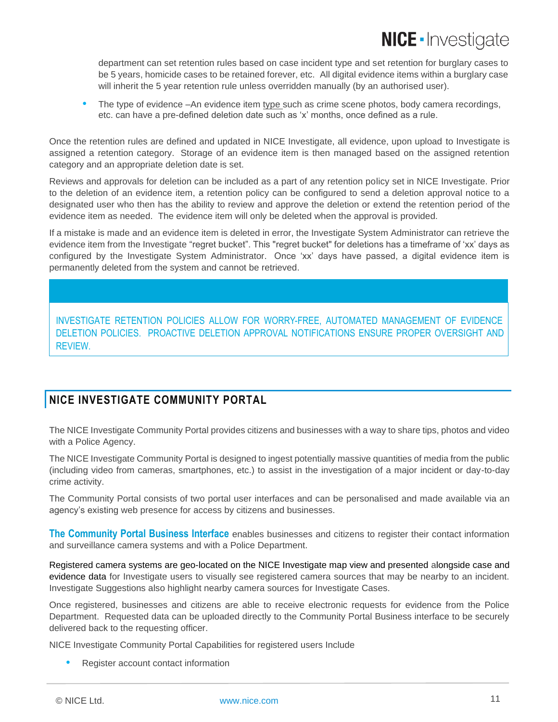department can set retention rules based on case incident type and set retention for burglary cases to be 5 years, homicide cases to be retained forever, etc. All digital evidence items within a burglary case will inherit the 5 year retention rule unless overridden manually (by an authorised user).

 The type of evidence –An evidence item type such as crime scene photos, body camera recordings, etc. can have a pre-defined deletion date such as 'x' months, once defined as a rule.

Once the retention rules are defined and updated in NICE Investigate, all evidence, upon upload to Investigate is assigned a retention category. Storage of an evidence item is then managed based on the assigned retention category and an appropriate deletion date is set.

Reviews and approvals for deletion can be included as a part of any retention policy set in NICE Investigate. Prior to the deletion of an evidence item, a retention policy can be configured to send a deletion approval notice to a designated user who then has the ability to review and approve the deletion or extend the retention period of the evidence item as needed. The evidence item will only be deleted when the approval is provided.

If a mistake is made and an evidence item is deleted in error, the Investigate System Administrator can retrieve the evidence item from the Investigate "regret bucket". This "regret bucket" for deletions has a timeframe of 'xx' days as configured by the Investigate System Administrator. Once 'xx' days have passed, a digital evidence item is permanently deleted from the system and cannot be retrieved.

INVESTIGATE RETENTION POLICIES ALLOW FOR WORRY-FREE, AUTOMATED MANAGEMENT OF EVIDENCE DELETION POLICIES. PROACTIVE DELETION APPROVAL NOTIFICATIONS ENSURE PROPER OVERSIGHT AND REVIEW.

### <span id="page-10-0"></span>**NICE INVESTIGATE COMMUNITY PORTAL**

The NICE Investigate Community Portal provides citizens and businesses with a way to share tips, photos and video with a Police Agency.

The NICE Investigate Community Portal is designed to ingest potentially massive quantities of media from the public (including video from cameras, smartphones, etc.) to assist in the investigation of a major incident or day-to-day crime activity.

The Community Portal consists of two portal user interfaces and can be personalised and made available via an agency's existing web presence for access by citizens and businesses.

**The Community Portal Business Interface** enables businesses and citizens to register their contact information and surveillance camera systems and with a Police Department.

Registered camera systems are geo-located on the NICE Investigate map view and presented alongside case and evidence data for Investigate users to visually see registered camera sources that may be nearby to an incident. Investigate Suggestions also highlight nearby camera sources for Investigate Cases.

Once registered, businesses and citizens are able to receive electronic requests for evidence from the Police Department. Requested data can be uploaded directly to the Community Portal Business interface to be securely delivered back to the requesting officer.

NICE Investigate Community Portal Capabilities for registered users Include

Register account contact information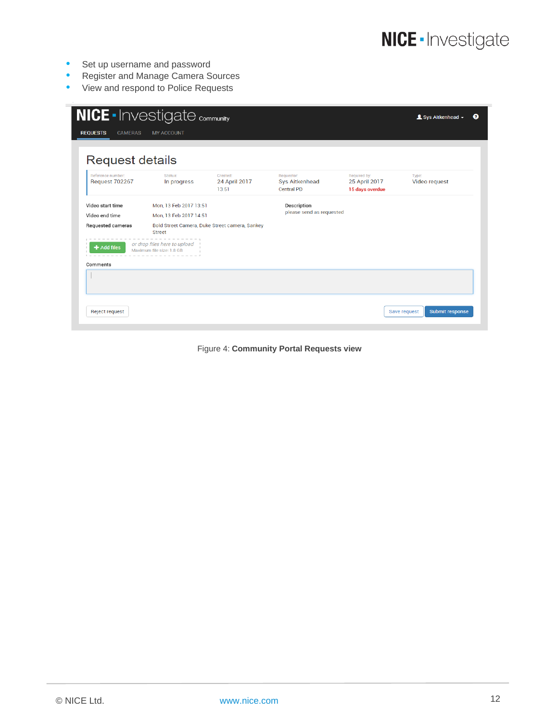- Set up username and password
- **Register and Manage Camera Sources**
- View and respond to Police Requests

| <b>REQUESTS</b><br><b>CAMERAS</b><br>Request details | <b>MY ACCOUNT</b>                                         |                                                |                                                          |                                                  |                        |
|------------------------------------------------------|-----------------------------------------------------------|------------------------------------------------|----------------------------------------------------------|--------------------------------------------------|------------------------|
| Reference number:<br><b>Request 702267</b>           | Status:<br>In progress                                    | Created:<br>24 April 2017<br>13:51             | Requestor:<br><b>Sys Aitkenhead</b><br><b>Central PD</b> | Required by:<br>25 April 2017<br>15 days overdue | Type:<br>Video request |
| Video start time                                     | Mon, 13 Feb 2017 13:51                                    |                                                | Description                                              |                                                  |                        |
| Video end time                                       | Mon, 13 Feb 2017 14:51                                    |                                                | please send as requested                                 |                                                  |                        |
| Requested cameras                                    | <b>Street</b>                                             | Bold Street Camera, Duke Street camera, Sankey |                                                          |                                                  |                        |
| $\blacktriangle$ Add files                           | or drop files here to upload<br>Maximum file size: 1.8 GB |                                                |                                                          |                                                  |                        |
| Comments                                             |                                                           |                                                |                                                          |                                                  |                        |
|                                                      |                                                           |                                                |                                                          |                                                  |                        |

Figure 4: **Community Portal Requests view**